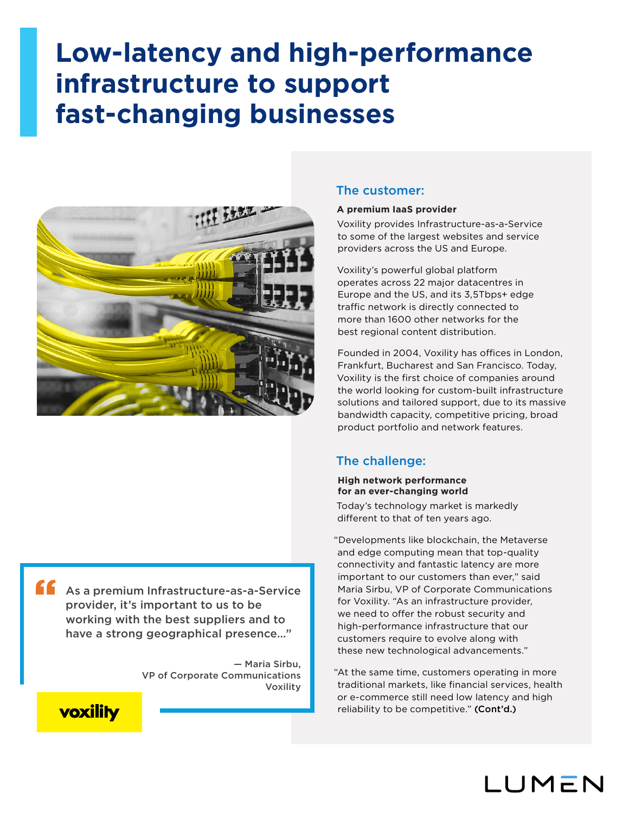# **Low-latency and high-performance infrastructure to support fast-changing businesses**



As a premium Infrastructure-as-a-Service provider, it's important to us to be working with the best suppliers and to have a strong geographical presence…"

> — Maria Sirbu, VP of Corporate Communications Voxility

## The customer:

## **A premium IaaS provider**

Voxility provides Infrastructure-as-a-Service to some of the largest websites and service providers across the US and Europe.

Voxility's powerful global platform operates across 22 major datacentres in Europe and the US, and its 3,5Tbps+ edge traffic network is directly connected to more than 1600 other networks for the best regional content distribution.

Founded in 2004, Voxility has offices in London, Frankfurt, Bucharest and San Francisco. Today, Voxility is the first choice of companies around the world looking for custom-built infrastructure solutions and tailored support, due to its massive bandwidth capacity, competitive pricing, broad product portfolio and network features.

## The challenge:

## **High network performance for an ever-changing world**

Today's technology market is markedly different to that of ten years ago.

"Developments like blockchain, the Metaverse and edge computing mean that top-quality connectivity and fantastic latency are more important to our customers than ever," said Maria Sirbu, VP of Corporate Communications for Voxility. "As an infrastructure provider, we need to offer the robust security and high-performance infrastructure that our customers require to evolve along with these new technological advancements."

"At the same time, customers operating in more traditional markets, like financial services, health or e-commerce still need low latency and high reliability to be competitive." (Cont'd.)



"

## LUMEN